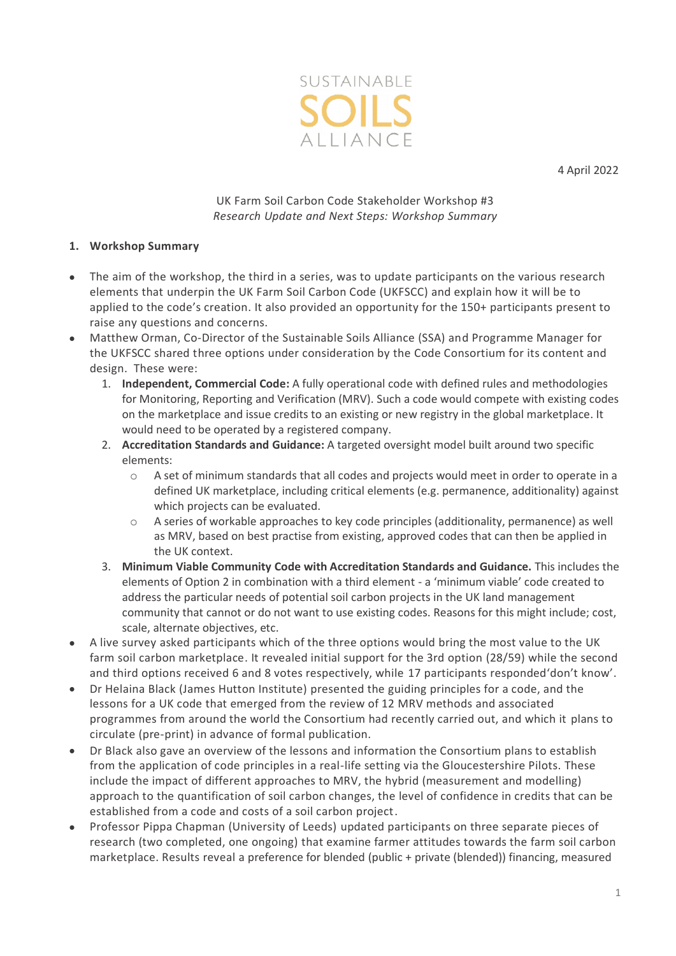

4 April 2022

# UK Farm Soil Carbon Code Stakeholder Workshop #3 *Research Update and Next Steps: Workshop Summary*

## **1. Workshop Summary**

- The aim of the workshop, the third in a series, was to update participants on the various research elements that underpin the UK Farm Soil Carbon Code (UKFSCC) and explain how it will be to applied to the code's creation. It also provided an opportunity for the 150+ participants present to raise any questions and concerns.
- Matthew Orman, Co-Director of the Sustainable Soils Alliance (SSA) and Programme Manager for the UKFSCC shared three options under consideration by the Code Consortium for its content and design. These were:
	- 1. **Independent, Commercial Code:** A fully operational code with defined rules and methodologies for Monitoring, Reporting and Verification (MRV). Such a code would compete with existing codes on the marketplace and issue credits to an existing or new registry in the global marketplace. It would need to be operated by a registered company.
	- 2. **Accreditation Standards and Guidance:** A targeted oversight model built around two specific elements:
		- o A set of minimum standards that all codes and projects would meet in order to operate in a defined UK marketplace, including critical elements (e.g. permanence, additionality) against which projects can be evaluated.
		- $\circ$  A series of workable approaches to key code principles (additionality, permanence) as well as MRV, based on best practise from existing, approved codes that can then be applied in the UK context.
	- 3. **Minimum Viable Community Code with Accreditation Standards and Guidance.** This includes the elements of Option 2 in combination with a third element - a 'minimum viable' code created to address the particular needs of potential soil carbon projects in the UK land management community that cannot or do not want to use existing codes. Reasons for this might include; cost, scale, alternate objectives, etc.
- A live survey asked participants which of the three options would bring the most value to the UK farm soil carbon marketplace. It revealed initial support for the 3rd option (28/59) while the second and third options received 6 and 8 votes respectively, while 17 participants responded'don't know'.
- Dr Helaina Black (James Hutton Institute) presented the guiding principles for a code, and the lessons for a UK code that emerged from the review of 12 MRV methods and associated programmes from around the world the Consortium had recently carried out, and which it plans to circulate (pre-print) in advance of formal publication.
- Dr Black also gave an overview of the lessons and information the Consortium plans to establish from the application of code principles in a real-life setting via the Gloucestershire Pilots. These include the impact of different approaches to MRV, the hybrid (measurement and modelling) approach to the quantification of soil carbon changes, the level of confidence in credits that can be established from a code and costs of a soil carbon project.
- Professor Pippa Chapman (University of Leeds) updated participants on three separate pieces of research (two completed, one ongoing) that examine farmer attitudes towards the farm soil carbon marketplace. Results reveal a preference for blended (public + private (blended)) financing, measured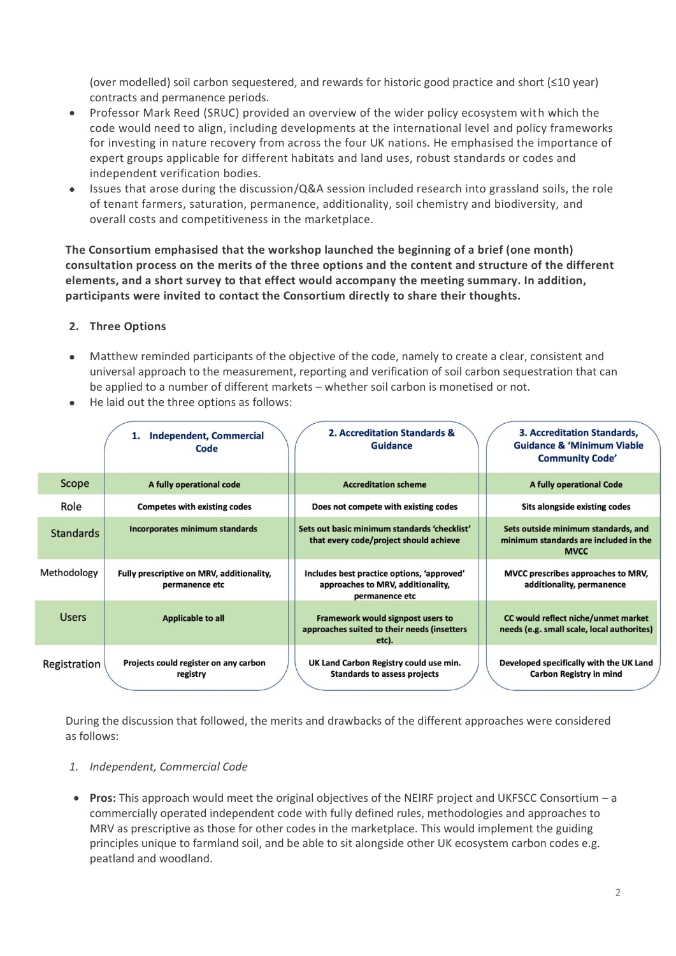(over modelled) soil carbon sequestered, and rewards for historic good practice and short (≤10 year) contracts and permanence periods.

- Professor Mark Reed (SRUC) provided an overview of the wider policy ecosystem with which the code would need to align, including developments at the international level and policy frameworks for investing in nature recovery from across the four UK nations. He emphasised the importance of expert groups applicable for different habitats and land uses, robust standards or codes and independent verification bodies.
- Issues that arose during the discussion/Q&A session included research into grassland soils, the role of tenant farmers, saturation, permanence, additionality, soil chemistry and biodiversity, and overall costs and competitiveness in the marketplace.

**The Consortium emphasised that the workshop launched the beginning of a brief (one month) consultation process on the merits of the three options and the content and structure of the different elements, and a short survey to that effect would accompany the meeting summary. In addition, participants were invited to contact the Consortium directly to share their thoughts.**

## **2. Three Options**

- Matthew reminded participants of the objective of the code, namely to create a clear, consistent and universal approach to the measurement, reporting and verification of soil carbon sequestration that can be applied to a number of different markets – whether soil carbon is monetised or not.
- He laid out the three options as follows:

|                  | <b>Independent, Commercial</b><br>1.<br>Code                | 2. Accreditation Standards &<br><b>Guidance</b>                                                   | <b>3. Accreditation Standards,</b><br><b>Guidance &amp; 'Minimum Viable</b><br><b>Community Code'</b> |
|------------------|-------------------------------------------------------------|---------------------------------------------------------------------------------------------------|-------------------------------------------------------------------------------------------------------|
| Scope            | A fully operational code                                    | <b>Accreditation scheme</b>                                                                       | <b>A fully operational Code</b>                                                                       |
| Role             | <b>Competes with existing codes</b>                         | Does not compete with existing codes                                                              | Sits alongside existing codes                                                                         |
| <b>Standards</b> | <b>Incorporates minimum standards</b>                       | Sets out basic minimum standards 'checklist'<br>that every code/project should achieve            | Sets outside minimum standards, and<br>minimum standards are included in the<br><b>MVCC</b>           |
| Methodology      | Fully prescriptive on MRV, additionality,<br>permanence etc | Includes best practice options, 'approved'<br>approaches to MRV, additionality,<br>permanence etc | MVCC prescribes approaches to MRV,<br>additionality, permanence                                       |
| <b>Users</b>     | <b>Applicable to all</b>                                    | <b>Framework would signpost users to</b><br>approaches suited to their needs (insetters<br>etc).  | CC would reflect niche/unmet market<br>needs (e.g. small scale, local authorites)                     |
| Registration     | Projects could register on any carbon<br>registry           | UK Land Carbon Registry could use min.<br><b>Standards to assess projects</b>                     | Developed specifically with the UK Land<br><b>Carbon Registry in mind</b>                             |

During the discussion that followed, the merits and drawbacks of the different approaches were considered as follows:

### *1. Independent, Commercial Code*

• **Pros:** This approach would meet the original objectives of the NEIRF project and UKFSCC Consortium – a commercially operated independent code with fully defined rules, methodologies and approaches to MRV as prescriptive as those for other codes in the marketplace. This would implement the guiding principles unique to farmland soil, and be able to sit alongside other UK ecosystem carbon codes e.g. peatland and woodland.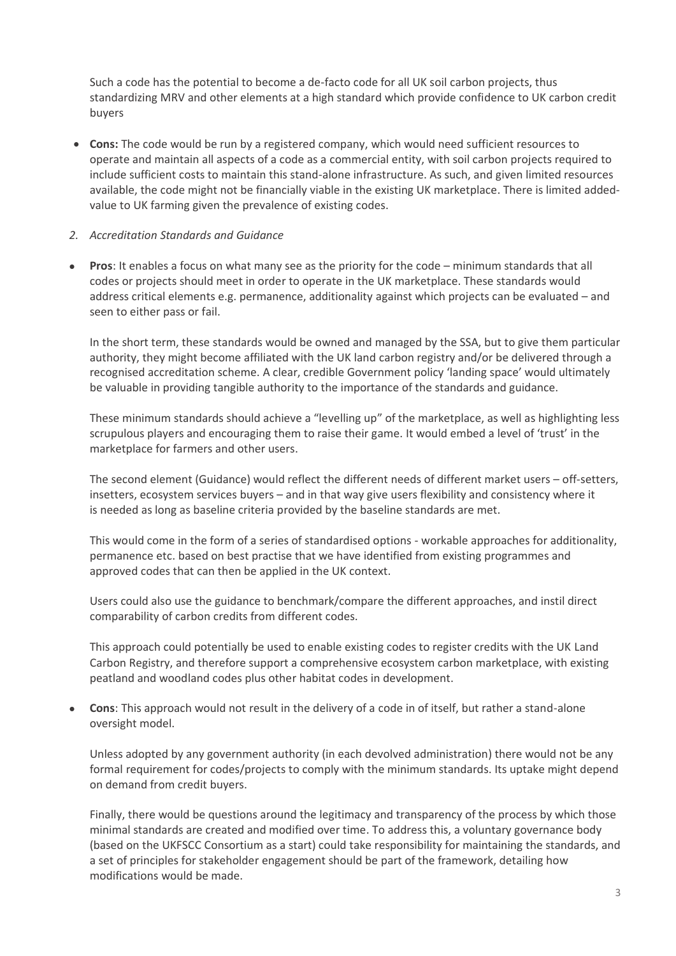Such a code has the potential to become a de-facto code for all UK soil carbon projects, thus standardizing MRV and other elements at a high standard which provide confidence to UK carbon credit buyers

• **Cons:** The code would be run by a registered company, which would need sufficient resources to operate and maintain all aspects of a code as a commercial entity, with soil carbon projects required to include sufficient costs to maintain this stand-alone infrastructure. As such, and given limited resources available, the code might not be financially viable in the existing UK marketplace. There is limited addedvalue to UK farming given the prevalence of existing codes.

### *2. Accreditation Standards and Guidance*

• **Pros**: It enables a focus on what many see as the priority for the code – minimum standards that all codes or projects should meet in order to operate in the UK marketplace. These standards would address critical elements e.g. permanence, additionality against which projects can be evaluated – and seen to either pass or fail.

In the short term, these standards would be owned and managed by the SSA, but to give them particular authority, they might become affiliated with the UK land carbon registry and/or be delivered through a recognised accreditation scheme. A clear, credible Government policy 'landing space' would ultimately be valuable in providing tangible authority to the importance of the standards and guidance.

These minimum standards should achieve a "levelling up" of the marketplace, as well as highlighting less scrupulous players and encouraging them to raise their game. It would embed a level of 'trust' in the marketplace for farmers and other users.

The second element (Guidance) would reflect the different needs of different market users – off-setters, insetters, ecosystem services buyers – and in that way give users flexibility and consistency where it is needed as long as baseline criteria provided by the baseline standards are met.

This would come in the form of a series of standardised options - workable approaches for additionality, permanence etc. based on best practise that we have identified from existing programmes and approved codes that can then be applied in the UK context.

Users could also use the guidance to benchmark/compare the different approaches, and instil direct comparability of carbon credits from different codes.

This approach could potentially be used to enable existing codes to register credits with the UK Land Carbon Registry, and therefore support a comprehensive ecosystem carbon marketplace, with existing peatland and woodland codes plus other habitat codes in development.

• **Cons**: This approach would not result in the delivery of a code in of itself, but rather a stand-alone oversight model.

Unless adopted by any government authority (in each devolved administration) there would not be any formal requirement for codes/projects to comply with the minimum standards. Its uptake might depend on demand from credit buyers.

Finally, there would be questions around the legitimacy and transparency of the process by which those minimal standards are created and modified over time. To address this, a voluntary governance body (based on the UKFSCC Consortium as a start) could take responsibility for maintaining the standards, and a set of principles for stakeholder engagement should be part of the framework, detailing how modifications would be made.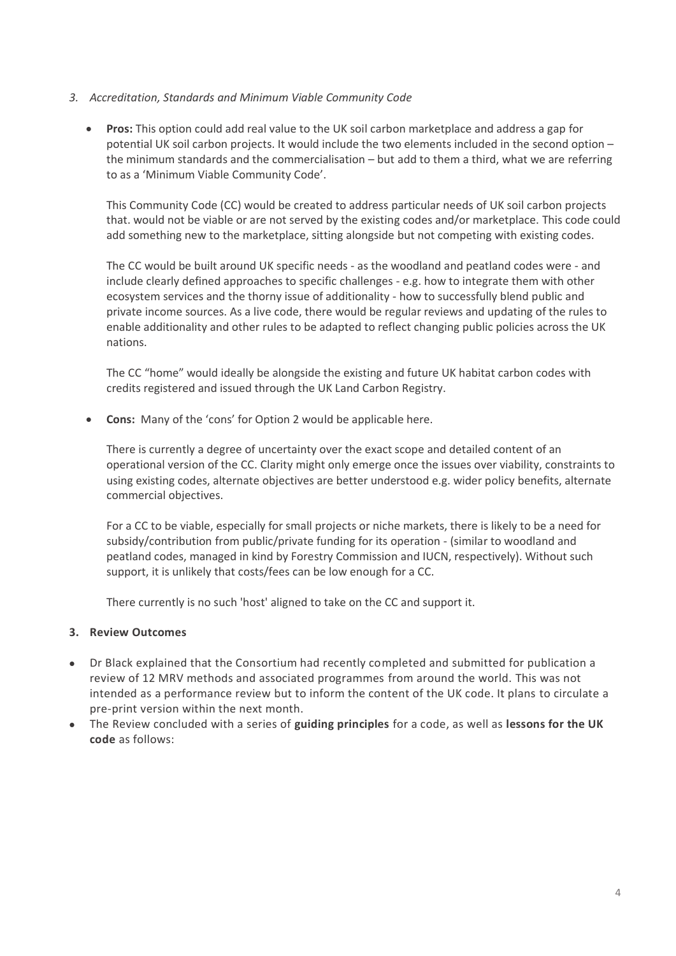- *3. Accreditation, Standards and Minimum Viable Community Code*
	- **Pros:** This option could add real value to the UK soil carbon marketplace and address a gap for potential UK soil carbon projects. It would include the two elements included in the second option – the minimum standards and the commercialisation – but add to them a third, what we are referring to as a 'Minimum Viable Community Code'.

This Community Code (CC) would be created to address particular needs of UK soil carbon projects that. would not be viable or are not served by the existing codes and/or marketplace. This code could add something new to the marketplace, sitting alongside but not competing with existing codes.

The CC would be built around UK specific needs - as the woodland and peatland codes were - and include clearly defined approaches to specific challenges - e.g. how to integrate them with other ecosystem services and the thorny issue of additionality - how to successfully blend public and private income sources. As a live code, there would be regular reviews and updating of the rules to enable additionality and other rules to be adapted to reflect changing public policies across the UK nations.

The CC "home" would ideally be alongside the existing and future UK habitat carbon codes with credits registered and issued through the UK Land Carbon Registry.

• **Cons:** Many of the 'cons' for Option 2 would be applicable here.

There is currently a degree of uncertainty over the exact scope and detailed content of an operational version of the CC. Clarity might only emerge once the issues over viability, constraints to using existing codes, alternate objectives are better understood e.g. wider policy benefits, alternate commercial objectives.

For a CC to be viable, especially for small projects or niche markets, there is likely to be a need for subsidy/contribution from public/private funding for its operation - (similar to woodland and peatland codes, managed in kind by Forestry Commission and IUCN, respectively). Without such support, it is unlikely that costs/fees can be low enough for a CC.

There currently is no such 'host' aligned to take on the CC and support it.

### **3. Review Outcomes**

- Dr Black explained that the Consortium had recently completed and submitted for publication a review of 12 MRV methods and associated programmes from around the world. This was not intended as a performance review but to inform the content of the UK code. It plans to circulate a pre-print version within the next month.
- The Review concluded with a series of **guiding principles** for a code, as well as **lessons for the UK code** as follows: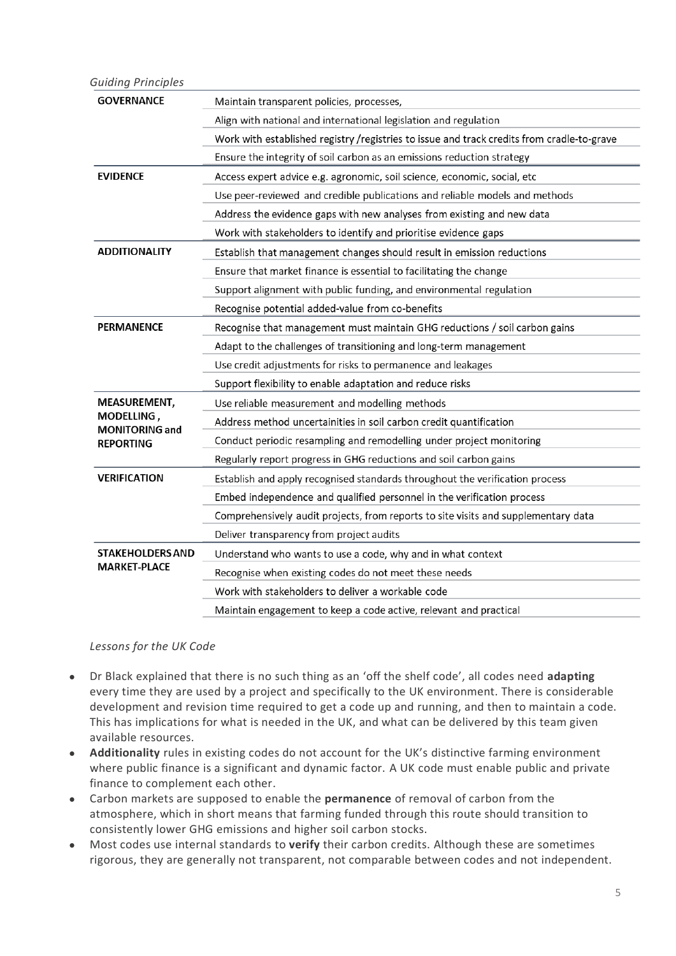#### *Guiding Principles*

| <b>GOVERNANCE</b>                   | Maintain transparent policies, processes,                                                  |  |  |
|-------------------------------------|--------------------------------------------------------------------------------------------|--|--|
|                                     | Align with national and international legislation and regulation                           |  |  |
|                                     | Work with established registry /registries to issue and track credits from cradle-to-grave |  |  |
|                                     | Ensure the integrity of soil carbon as an emissions reduction strategy                     |  |  |
| <b>EVIDENCE</b>                     | Access expert advice e.g. agronomic, soil science, economic, social, etc                   |  |  |
|                                     | Use peer-reviewed and credible publications and reliable models and methods                |  |  |
|                                     | Address the evidence gaps with new analyses from existing and new data                     |  |  |
|                                     | Work with stakeholders to identify and prioritise evidence gaps                            |  |  |
| <b>ADDITIONALITY</b>                | Establish that management changes should result in emission reductions                     |  |  |
|                                     | Ensure that market finance is essential to facilitating the change                         |  |  |
|                                     | Support alignment with public funding, and environmental regulation                        |  |  |
|                                     | Recognise potential added-value from co-benefits                                           |  |  |
| <b>PERMANENCE</b>                   | Recognise that management must maintain GHG reductions / soil carbon gains                 |  |  |
|                                     | Adapt to the challenges of transitioning and long-term management                          |  |  |
|                                     | Use credit adjustments for risks to permanence and leakages                                |  |  |
|                                     | Support flexibility to enable adaptation and reduce risks                                  |  |  |
| MEASUREMENT,                        | Use reliable measurement and modelling methods                                             |  |  |
| MODELLING,<br><b>MONITORING and</b> | Address method uncertainities in soil carbon credit quantification                         |  |  |
| <b>REPORTING</b>                    | Conduct periodic resampling and remodelling under project monitoring                       |  |  |
|                                     | Regularly report progress in GHG reductions and soil carbon gains                          |  |  |
| <b>VERIFICATION</b>                 | Establish and apply recognised standards throughout the verification process               |  |  |
|                                     | Embed independence and qualified personnel in the verification process                     |  |  |
|                                     | Comprehensively audit projects, from reports to site visits and supplementary data         |  |  |
|                                     | Deliver transparency from project audits                                                   |  |  |
| <b>STAKEHOLDERS AND</b>             | Understand who wants to use a code, why and in what context                                |  |  |
| <b>MARKET-PLACE</b>                 | Recognise when existing codes do not meet these needs                                      |  |  |
|                                     | Work with stakeholders to deliver a workable code                                          |  |  |
|                                     | Maintain engagement to keep a code active, relevant and practical                          |  |  |

### *Lessons for the UK Code*

- Dr Black explained that there is no such thing as an 'off the shelf code', all codes need **adapting** every time they are used by a project and specifically to the UK environment. There is considerable development and revision time required to get a code up and running, and then to maintain a code. This has implications for what is needed in the UK, and what can be delivered by this team given available resources.
- **Additionality** rules in existing codes do not account for the UK's distinctive farming environment where public finance is a significant and dynamic factor. A UK code must enable public and private finance to complement each other.
- Carbon markets are supposed to enable the **permanence** of removal of carbon from the atmosphere, which in short means that farming funded through this route should transition to consistently lower GHG emissions and higher soil carbon stocks.
- Most codes use internal standards to **verify** their carbon credits. Although these are sometimes rigorous, they are generally not transparent, not comparable between codes and not independent.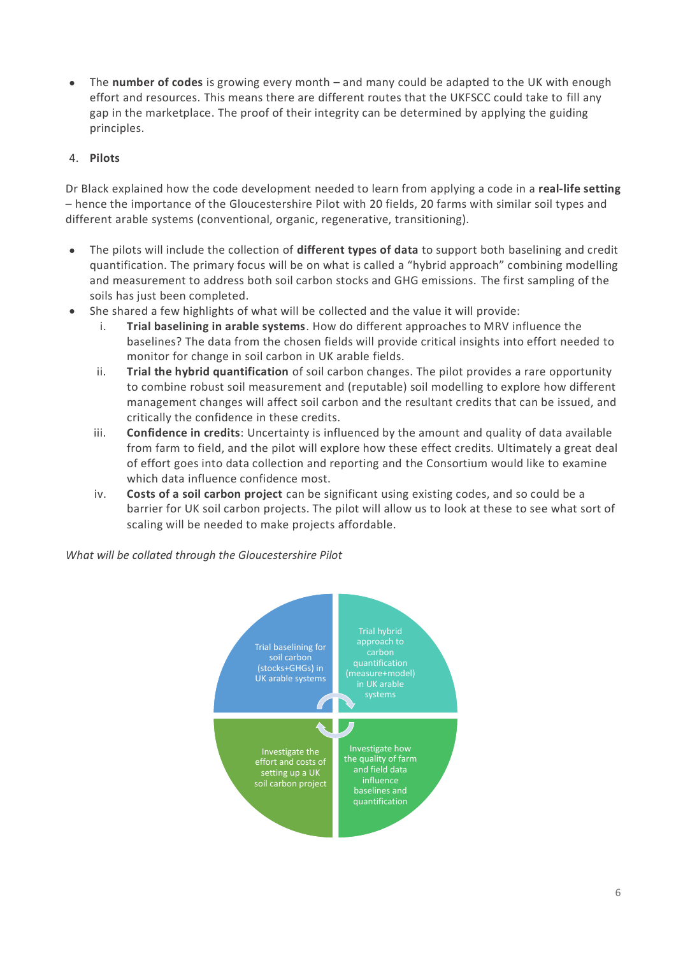• The **number of codes** is growing every month – and many could be adapted to the UK with enough effort and resources. This means there are different routes that the UKFSCC could take to fill any gap in the marketplace. The proof of their integrity can be determined by applying the guiding principles.

# 4. **Pilots**

Dr Black explained how the code development needed to learn from applying a code in a **real-life setting** – hence the importance of the Gloucestershire Pilot with 20 fields, 20 farms with similar soil types and different arable systems (conventional, organic, regenerative, transitioning).

- The pilots will include the collection of **different types of data** to support both baselining and credit quantification. The primary focus will be on what is called a "hybrid approach" combining modelling and measurement to address both soil carbon stocks and GHG emissions. The first sampling of the soils has just been completed.
- She shared a few highlights of what will be collected and the value it will provide:
	- i. **Trial baselining in arable systems**. How do different approaches to MRV influence the baselines? The data from the chosen fields will provide critical insights into effort needed to monitor for change in soil carbon in UK arable fields.
	- ii. **Trial the hybrid quantification** of soil carbon changes. The pilot provides a rare opportunity to combine robust soil measurement and (reputable) soil modelling to explore how different management changes will affect soil carbon and the resultant credits that can be issued, and critically the confidence in these credits.
	- iii. **Confidence in credits**: Uncertainty is influenced by the amount and quality of data available from farm to field, and the pilot will explore how these effect credits. Ultimately a great deal of effort goes into data collection and reporting and the Consortium would like to examine which data influence confidence most.
	- iv. **Costs of a soil carbon project** can be significant using existing codes, and so could be a barrier for UK soil carbon projects. The pilot will allow us to look at these to see what sort of scaling will be needed to make projects affordable.

*What will be collated through the Gloucestershire Pilot*

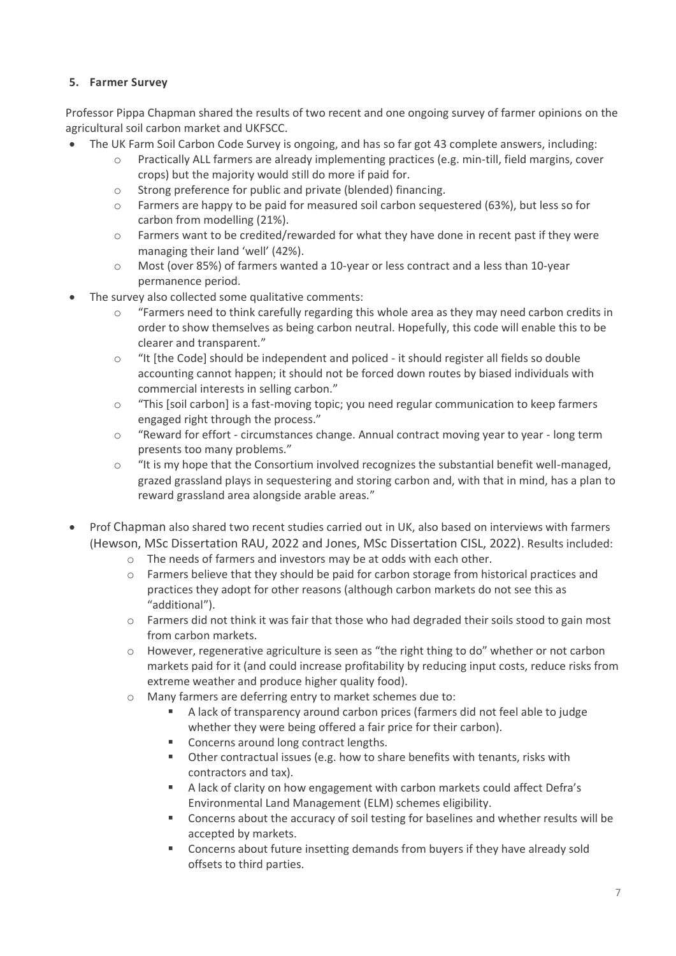# **5. Farmer Survey**

Professor Pippa Chapman shared the results of two recent and one ongoing survey of farmer opinions on the agricultural soil carbon market and UKFSCC.

- The UK Farm Soil Carbon Code Survey is ongoing, and has so far got 43 complete answers, including:
	- o Practically ALL farmers are already implementing practices (e.g. min-till, field margins, cover crops) but the majority would still do more if paid for.
	- o Strong preference for public and private (blended) financing.
	- o Farmers are happy to be paid for measured soil carbon sequestered (63%), but less so for carbon from modelling (21%).
	- $\circ$  Farmers want to be credited/rewarded for what they have done in recent past if they were managing their land 'well' (42%).
	- o Most (over 85%) of farmers wanted a 10-year or less contract and a less than 10-year permanence period.
- The survey also collected some qualitative comments:
	- o "Farmers need to think carefully regarding this whole area as they may need carbon credits in order to show themselves as being carbon neutral. Hopefully, this code will enable this to be clearer and transparent."
	- o "It [the Code] should be independent and policed it should register all fields so double accounting cannot happen; it should not be forced down routes by biased individuals with commercial interests in selling carbon."
	- o "This [soil carbon] is a fast-moving topic; you need regular communication to keep farmers engaged right through the process."
	- o "Reward for effort circumstances change. Annual contract moving year to year long term presents too many problems."
	- o "It is my hope that the Consortium involved recognizes the substantial benefit well-managed, grazed grassland plays in sequestering and storing carbon and, with that in mind, has a plan to reward grassland area alongside arable areas."
- Prof Chapman also shared two recent studies carried out in UK, also based on interviews with farmers (Hewson, MSc Dissertation RAU, 2022 and Jones, MSc Dissertation CISL, 2022). Results included:
	- o The needs of farmers and investors may be at odds with each other.
	- o Farmers believe that they should be paid for carbon storage from historical practices and practices they adopt for other reasons (although carbon markets do not see this as "additional").
	- $\circ$  Farmers did not think it was fair that those who had degraded their soils stood to gain most from carbon markets.
	- o However, regenerative agriculture is seen as "the right thing to do" whether or not carbon markets paid for it (and could increase profitability by reducing input costs, reduce risks from extreme weather and produce higher quality food).
	- o Many farmers are deferring entry to market schemes due to:
		- A lack of transparency around carbon prices (farmers did not feel able to judge whether they were being offered a fair price for their carbon).
		- Concerns around long contract lengths.
		- Other contractual issues (e.g. how to share benefits with tenants, risks with contractors and tax).
		- A lack of clarity on how engagement with carbon markets could affect Defra's Environmental Land Management (ELM) schemes eligibility.
		- Concerns about the accuracy of soil testing for baselines and whether results will be accepted by markets.
		- Concerns about future insetting demands from buyers if they have already sold offsets to third parties.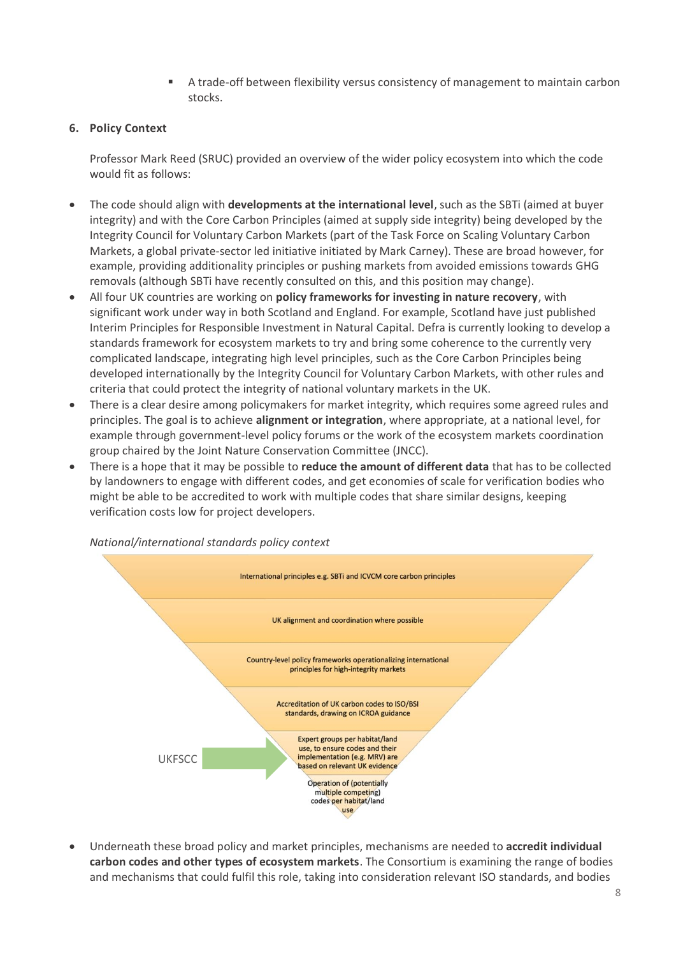A trade-off between flexibility versus consistency of management to maintain carbon stocks.

## **6. Policy Context**

Professor Mark Reed (SRUC) provided an overview of the wider policy ecosystem into which the code would fit as follows:

- The code should align with **developments at the international level**, such as the SBTi (aimed at buyer integrity) and with the Core Carbon Principles (aimed at supply side integrity) being developed by the Integrity Council for Voluntary Carbon Markets (part of the Task Force on Scaling Voluntary Carbon Markets, a global private-sector led initiative initiated by Mark Carney). These are broad however, for example, providing additionality principles or pushing markets from avoided emissions towards GHG removals (although SBTi have recently consulted on this, and this position may change).
- All four UK countries are working on **policy frameworks for investing in nature recovery**, with significant work under way in both Scotland and England. For example, Scotland have just published Interim Principles for Responsible Investment in Natural Capital. Defra is currently looking to develop a standards framework for ecosystem markets to try and bring some coherence to the currently very complicated landscape, integrating high level principles, such as the Core Carbon Principles being developed internationally by the Integrity Council for Voluntary Carbon Markets, with other rules and criteria that could protect the integrity of national voluntary markets in the UK.
- There is a clear desire among policymakers for market integrity, which requires some agreed rules and principles. The goal is to achieve **alignment or integration**, where appropriate, at a national level, for example through government-level policy forums or the work of the ecosystem markets coordination group chaired by the Joint Nature Conservation Committee (JNCC).
- There is a hope that it may be possible to **reduce the amount of different data** that has to be collected by landowners to engage with different codes, and get economies of scale for verification bodies who might be able to be accredited to work with multiple codes that share similar designs, keeping verification costs low for project developers.



• Underneath these broad policy and market principles, mechanisms are needed to **accredit individual carbon codes and other types of ecosystem markets**. The Consortium is examining the range of bodies and mechanisms that could fulfil this role, taking into consideration relevant ISO standards, and bodies

*National/international standards policy context*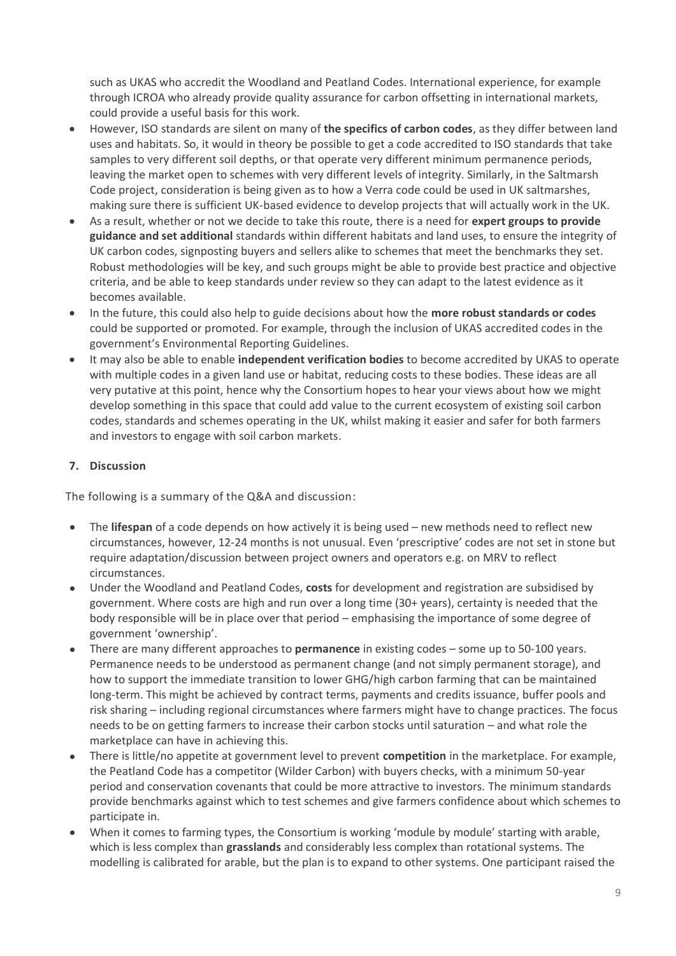such as UKAS who accredit the Woodland and Peatland Codes. International experience, for example through ICROA who already provide quality assurance for carbon offsetting in international markets, could provide a useful basis for this work.

- However, ISO standards are silent on many of **the specifics of carbon codes**, as they differ between land uses and habitats. So, it would in theory be possible to get a code accredited to ISO standards that take samples to very different soil depths, or that operate very different minimum permanence periods, leaving the market open to schemes with very different levels of integrity. Similarly, in the Saltmarsh Code project, consideration is being given as to how a Verra code could be used in UK saltmarshes, making sure there is sufficient UK-based evidence to develop projects that will actually work in the UK.
- As a result, whether or not we decide to take this route, there is a need for **expert groups to provide guidance and set additional** standards within different habitats and land uses, to ensure the integrity of UK carbon codes, signposting buyers and sellers alike to schemes that meet the benchmarks they set. Robust methodologies will be key, and such groups might be able to provide best practice and objective criteria, and be able to keep standards under review so they can adapt to the latest evidence as it becomes available.
- In the future, this could also help to guide decisions about how the **more robust standards or codes** could be supported or promoted. For example, through the inclusion of UKAS accredited codes in the government's Environmental Reporting Guidelines.
- It may also be able to enable **independent verification bodies** to become accredited by UKAS to operate with multiple codes in a given land use or habitat, reducing costs to these bodies. These ideas are all very putative at this point, hence why the Consortium hopes to hear your views about how we might develop something in this space that could add value to the current ecosystem of existing soil carbon codes, standards and schemes operating in the UK, whilst making it easier and safer for both farmers and investors to engage with soil carbon markets.

# **7. Discussion**

The following is a summary of the Q&A and discussion:

- The **lifespan** of a code depends on how actively it is being used new methods need to reflect new circumstances, however, 12-24 months is not unusual. Even 'prescriptive' codes are not set in stone but require adaptation/discussion between project owners and operators e.g. on MRV to reflect circumstances.
- Under the Woodland and Peatland Codes, **costs** for development and registration are subsidised by government. Where costs are high and run over a long time (30+ years), certainty is needed that the body responsible will be in place over that period – emphasising the importance of some degree of government 'ownership'.
- There are many different approaches to **permanence** in existing codes some up to 50-100 years. Permanence needs to be understood as permanent change (and not simply permanent storage), and how to support the immediate transition to lower GHG/high carbon farming that can be maintained long-term. This might be achieved by contract terms, payments and credits issuance, buffer pools and risk sharing – including regional circumstances where farmers might have to change practices. The focus needs to be on getting farmers to increase their carbon stocks until saturation – and what role the marketplace can have in achieving this.
- There is little/no appetite at government level to prevent **competition** in the marketplace. For example, the Peatland Code has a competitor (Wilder Carbon) with buyers checks, with a minimum 50-year period and conservation covenants that could be more attractive to investors. The minimum standards provide benchmarks against which to test schemes and give farmers confidence about which schemes to participate in.
- When it comes to farming types, the Consortium is working 'module by module' starting with arable, which is less complex than **grasslands** and considerably less complex than rotational systems. The modelling is calibrated for arable, but the plan is to expand to other systems. One participant raised the